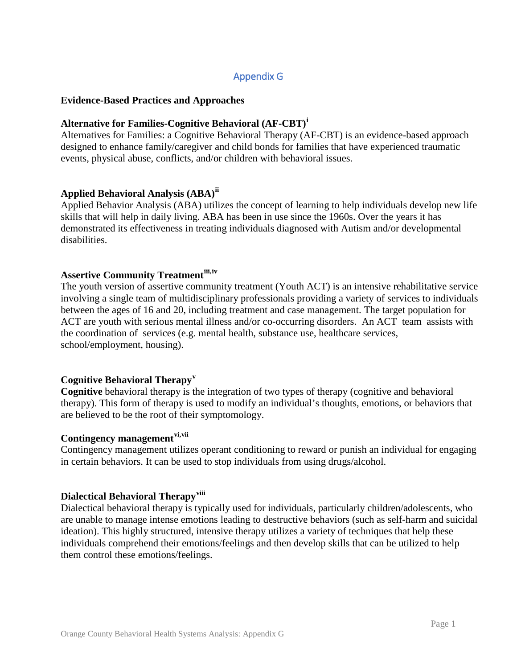# Appendix G

#### **Evidence-Based Practices and Approaches**

#### **Alternative for Families-Cognitive Behavioral (AF-CBT)[i](#page-4-0)**

Alternatives for Families: a Cognitive Behavioral Therapy (AF-CBT) is an evidence-based approach designed to enhance family/caregiver and child bonds for families that have experienced traumatic events, physical abuse, conflicts, and/or children with behavioral issues.

### **Applied Behavioral Analysis (ABA)[ii](#page-4-1)**

Applied Behavior Analysis (ABA) utilizes the concept of learning to help individuals develop new life skills that will help in daily living. ABA has been in use since the 1960s. Over the years it has demonstrated its effectiveness in treating individuals diagnosed with Autism and/or developmental disabilities.

# **Assertive Community Treatment[iii,](#page-4-2)[iv](#page-4-3)**

The youth version of assertive community treatment (Youth ACT) is an intensive rehabilitative service involving a single team of multidisciplinary professionals providing a variety of services to individuals between the ages of 16 and 20, including treatment and case management. The target population for ACT are youth with serious mental illness and/or co-occurring disorders. An ACT team assists with the coordination of services (e.g. mental health, substance use, healthcare services, school/employment, housing).

#### **Cognitive Behavioral Therapy[v](#page-4-4)**

**Cognitive** behavioral therapy is the integration of two types of therapy (cognitive and behavioral therapy). This form of therapy is used to modify an individual's thoughts, emotions, or behaviors that are believed to be the root of their symptomology.

#### **Contingency management[vi](#page-4-5),[vii](#page-4-6)**

Contingency management utilizes operant conditioning to reward or punish an individual for engaging in certain behaviors. It can be used to stop individuals from using drugs/alcohol.

#### **Dialectical Behavioral Therapy[viii](#page-4-7)**

Dialectical behavioral therapy is typically used for individuals, particularly children/adolescents, who are unable to manage intense emotions leading to destructive behaviors (such as self-harm and suicidal ideation). This highly structured, intensive therapy utilizes a variety of techniques that help these individuals comprehend their emotions/feelings and then develop skills that can be utilized to help them control these emotions/feelings.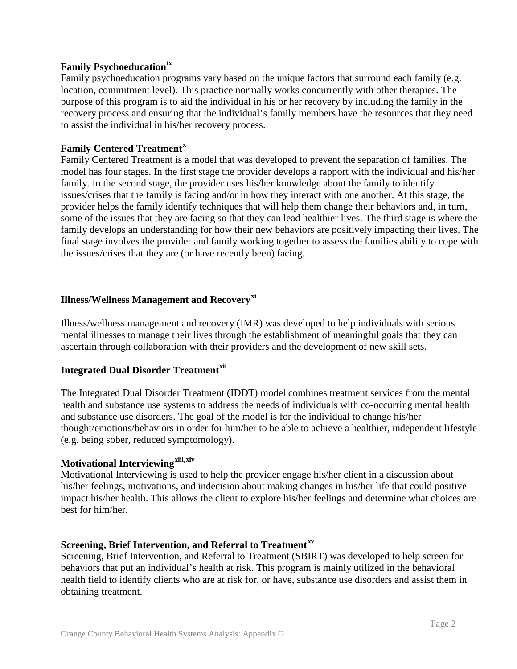# **Family Psychoeducation[ix](#page-4-8)**

Family psychoeducation programs vary based on the unique factors that surround each family (e.g. location, commitment level). This practice normally works concurrently with other therapies. The purpose of this program is to aid the individual in his or her recovery by including the family in the recovery process and ensuring that the individual's family members have the resources that they need to assist the individual in his/her recovery process.

## **Family Centered Treatment[x](#page-4-9)**

Family Centered Treatment is a model that was developed to prevent the separation of families. The model has four stages. In the first stage the provider develops a rapport with the individual and his/her family. In the second stage, the provider uses his/her knowledge about the family to identify issues/crises that the family is facing and/or in how they interact with one another. At this stage, the provider helps the family identify techniques that will help them change their behaviors and, in turn, some of the issues that they are facing so that they can lead healthier lives. The third stage is where the family develops an understanding for how their new behaviors are positively impacting their lives. The final stage involves the provider and family working together to assess the families ability to cope with the issues/crises that they are (or have recently been) facing.

## **Illness/Wellness Management and Recovery[xi](#page-4-10)**

Illness/wellness management and recovery (IMR) was developed to help individuals with serious mental illnesses to manage their lives through the establishment of meaningful goals that they can ascertain through collaboration with their providers and the development of new skill sets.

### **Integrated Dual Disorder Treatment[xii](#page-4-11)**

The Integrated Dual Disorder Treatment (IDDT) model combines treatment services from the mental health and substance use systems to address the needs of individuals with co-occurring mental health and substance use disorders. The goal of the model is for the individual to change his/her thought/emotions/behaviors in order for him/her to be able to achieve a healthier, independent lifestyle (e.g. being sober, reduced symptomology).

## **Motivational Interviewing[xiii,](#page-4-12)[xiv](#page-4-13)**

Motivational Interviewing is used to help the provider engage his/her client in a discussion about his/her feelings, motivations, and indecision about making changes in his/her life that could positive impact his/her health. This allows the client to explore his/her feelings and determine what choices are best for him/her.

### **Screening, Brief Intervention, and Referral to Treatment[xv](#page-4-14)**

Screening, Brief Intervention, and Referral to Treatment (SBIRT) was developed to help screen for behaviors that put an individual's health at risk. This program is mainly utilized in the behavioral health field to identify clients who are at risk for, or have, substance use disorders and assist them in obtaining treatment.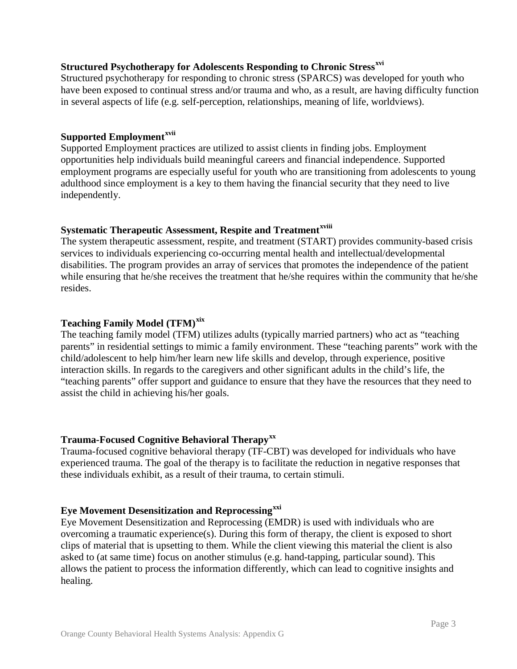## **Structured Psychotherapy for Adolescents Responding to Chronic Stress[xvi](#page-4-15)**

Structured psychotherapy for responding to chronic stress (SPARCS) was developed for youth who have been exposed to continual stress and/or trauma and who, as a result, are having difficulty function in several aspects of life (e.g. self-perception, relationships, meaning of life, worldviews).

#### **Supported Employment[xvii](#page-4-16)**

Supported Employment practices are utilized to assist clients in finding jobs. Employment opportunities help individuals build meaningful careers and financial independence. Supported employment programs are especially useful for youth who are transitioning from adolescents to young adulthood since employment is a key to them having the financial security that they need to live independently.

### **Systematic Therapeutic Assessment, Respite and Treatmentxviii**

The system therapeutic assessment, respite, and treatment (START) provides community-based crisis services to individuals experiencing co-occurring mental health and intellectual/developmental disabilities. The program provides an array of services that promotes the independence of the patient while ensuring that he/she receives the treatment that he/she requires within the community that he/she resides.

### **Teaching Family Model (TFM)[xix](#page-4-17)**

The teaching family model (TFM) utilizes adults (typically married partners) who act as "teaching parents" in residential settings to mimic a family environment. These "teaching parents" work with the child/adolescent to help him/her learn new life skills and develop, through experience, positive interaction skills. In regards to the caregivers and other significant adults in the child's life, the "teaching parents" offer support and guidance to ensure that they have the resources that they need to assist the child in achieving his/her goals.

### **Trauma-Focused Cognitive Behavioral Therapy[xx](#page-4-18)**

Trauma-focused cognitive behavioral therapy (TF-CBT) was developed for individuals who have experienced trauma. The goal of the therapy is to facilitate the reduction in negative responses that these individuals exhibit, as a result of their trauma, to certain stimuli.

## **Eye Movement Desensitization and Reprocessing[xxi](#page-4-19)**

Eye Movement Desensitization and Reprocessing (EMDR) is used with individuals who are overcoming a traumatic experience(s). During this form of therapy, the client is exposed to short clips of material that is upsetting to them. While the client viewing this material the client is also asked to (at same time) focus on another stimulus (e.g. hand-tapping, particular sound). This allows the patient to process the information differently, which can lead to cognitive insights and healing.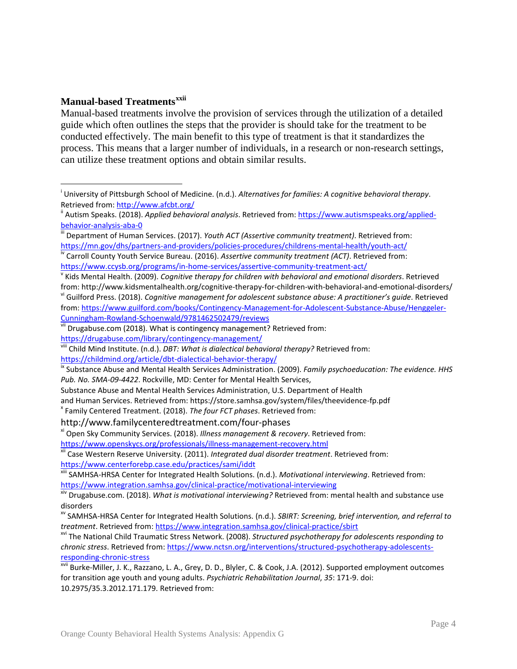#### **Manual-based Treatments[xxii](#page-4-20)**

Manual-based treatments involve the provision of services through the utilization of a detailed guide which often outlines the steps that the provider is should take for the treatment to be conducted effectively. The main benefit to this type of treatment is that it standardizes the process. This means that a larger number of individuals, in a research or non-research settings, can utilize these treatment options and obtain similar results.

i <sup>i</sup> University of Pittsburgh School of Medicine. (n.d.). *Alternatives for families: A cognitive behavioral therapy.*<br>Retrieved from: <u>http://www.afcbt.org/</u>

<sup>&</sup>lt;sup>ii</sup> Autism Speaks. (2018). *Applied behavioral analysis*. Retrieved from: [https://www.autismspeaks.org/applied-](https://www.autismspeaks.org/applied-behavior-analysis-aba-0)

[behavior-analysis-aba-0](https://www.autismspeaks.org/applied-behavior-analysis-aba-0)<br>
iii Department of Human Services. (2017). *Youth ACT (Assertive community treatment)*. Retrieved from:<br>
https://mn.gov/dhs/partners-and-providers/policies-procedures/childrens-mental-health/youth-a

<sup>&</sup>lt;sup>iv</sup> Carroll County Youth Service Bureau. (2016). Assertive community treatment (ACT). Retrieved from: <https://www.ccysb.org/programs/in-home-services/assertive-community-treatment-act/><br><sup>v</sup> Kids Mental Health. (2009). *Cognitive therapy for children with behavioral and emotional disorders*. Retrieved

from: http://www.kidsmentalhealth.org/cognitive-therapy-for-children-with-behavioral-and-emotional-disorders/<br>vi Guilford Press. (2018). Cognitive management for adolescent substance abuse: A practitioner's guide. Retrieve from: https://www.guilford.com/books/Contingency-Management-for-Adolescent-Substance-Abuse/Henggeler-<br>Cunningham-Rowland-Schoenwald/9781462502479/reviews

<sup>&</sup>lt;sup>vii</sup> Drugabuse.com (2018). What is contingency management? Retrieved from:

<https://drugabuse.com/library/contingency-management/><br>viii Child Mind Institute. (n.d.). *DBT: What is dialectical behavioral therapy?* Retrieved from:

<https://childmind.org/article/dbt-dialectical-behavior-therapy/><br><sup>ix</sup> Substance Abuse and Mental Health Services Administration. (2009). *Family psychoeducation: The evidence. HHS Pub. No. SMA-09-4422*. Rockville, MD: Center for Mental Health Services,

Substance Abuse and Mental Health Services Administration, U.S. Department of Health

and Human Services. Retrieved from: https://store.samhsa.gov/system/files/theevidence-fp.pdf<br><sup>x</sup> Family Centered Treatment. (2018). *The four FCT phases*. Retrieved from:

http://www.familycenteredtreatment.com/four-phases<br><sup>xi</sup> Open Sky Community Services. (2018). *Illness management & recovery*. Retrieved from:

<https://www.openskycs.org/professionals/illness-management-recovery.html><br><sup>xii</sup> Case Western Reserve University. (2011). *Integrated dual disorder treatment*. Retrieved from:

<https://www.centerforebp.case.edu/practices/sami/iddt><br>
<sup>xiii</sup> SAMHSA-HRSA Center for Integrated Health Solutions. (n.d.). *Motivational interviewing*. Retrieved from:

<https://www.integration.samhsa.gov/clinical-practice/motivational-interviewing><br>xiv Drugabuse.com. (2018). *What is motivational interviewing?* Retrieved from: mental health and substance use disorders

xv SAMHSA-HRSA Center for Integrated Health Solutions. (n.d.). *SBIRT: Screening, brief intervention, and referral to treatment*. Retrieved from:<https://www.integration.samhsa.gov/clinical-practice/sbirt><br><sup>xvi</sup> The National Child Traumatic Stress Network. (2008). *Structured psychotherapy for adolescents responding to* 

*chronic stress*. Retrieved from: [https://www.nctsn.org/interventions/structured-psychotherapy-adolescents](https://www.nctsn.org/interventions/structured-psychotherapy-adolescents-responding-chronic-stress)[responding-chronic-stress](https://www.nctsn.org/interventions/structured-psychotherapy-adolescents-responding-chronic-stress)<br><sup>xvii</sup> Burke-Miller, J. K., Razzano, L. A., Grey, D. D., Blyler, C. & Cook, J.A. (2012). Supported employment outcomes

for transition age youth and young adults. *Psychiatric Rehabilitation Journal*, *35*: 171-9. doi: 10.2975/35.3.2012.171.179. Retrieved from: